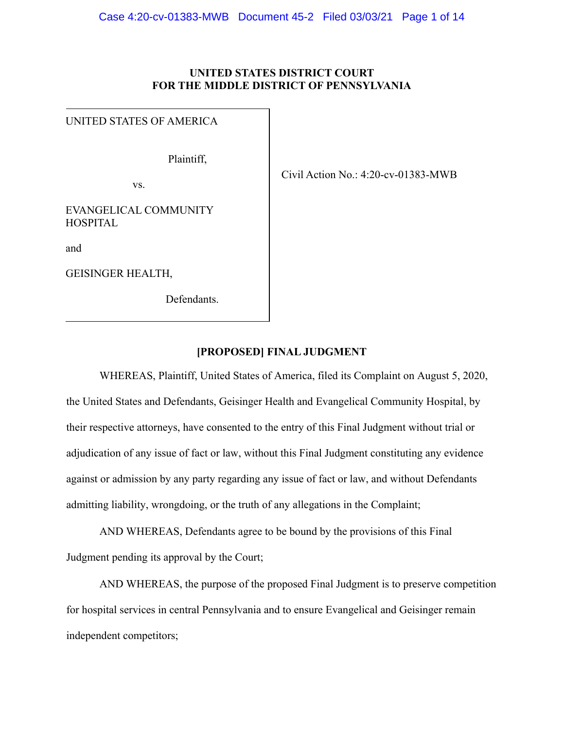## **UNITED STATES DISTRICT COURT FOR THE MIDDLE DISTRICT OF PENNSYLVANIA**

UNITED STATES OF AMERICA

Plaintiff,

vs.

Civil Action No.: 4:20-cv-01383-MWB

EVANGELICAL COMMUNITY HOSPITAL

and

GEISINGER HEALTH,

Defendants.

# **[PROPOSED] FINAL JUDGMENT**

WHEREAS, Plaintiff, United States of America, filed its Complaint on August 5, 2020, the United States and Defendants, Geisinger Health and Evangelical Community Hospital, by their respective attorneys, have consented to the entry of this Final Judgment without trial or adjudication of any issue of fact or law, without this Final Judgment constituting any evidence against or admission by any party regarding any issue of fact or law, and without Defendants admitting liability, wrongdoing, or the truth of any allegations in the Complaint;

AND WHEREAS, Defendants agree to be bound by the provisions of this Final Judgment pending its approval by the Court;

AND WHEREAS, the purpose of the proposed Final Judgment is to preserve competition for hospital services in central Pennsylvania and to ensure Evangelical and Geisinger remain independent competitors;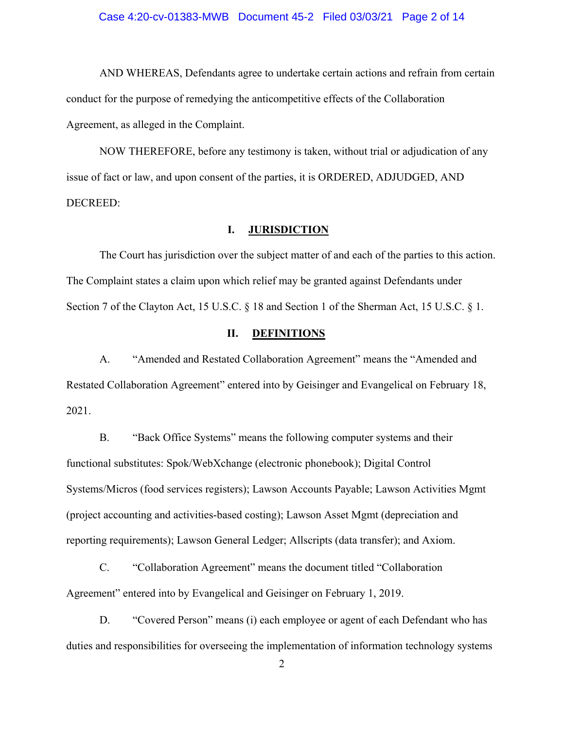#### Case 4:20-cv-01383-MWB Document 45-2 Filed 03/03/21 Page 2 of 14

AND WHEREAS, Defendants agree to undertake certain actions and refrain from certain conduct for the purpose of remedying the anticompetitive effects of the Collaboration Agreement, as alleged in the Complaint.

NOW THEREFORE, before any testimony is taken, without trial or adjudication of any issue of fact or law, and upon consent of the parties, it is ORDERED, ADJUDGED, AND DECREED:

## **I. JURISDICTION**

The Court has jurisdiction over the subject matter of and each of the parties to this action. The Complaint states a claim upon which relief may be granted against Defendants under Section 7 of the Clayton Act, 15 U.S.C. § 18 and Section 1 of the Sherman Act, 15 U.S.C. § 1.

#### П. **DEFINITIONS**

A. "Amended and Restated Collaboration Agreement" means the "Amended and Restated Collaboration Agreement" entered into by Geisinger and Evangelical on February 18, 2021.

B. "Back Office Systems" means the following computer systems and their functional substitutes: Spok/WebXchange (electronic phonebook); Digital Control Systems/Micros (food services registers); Lawson Accounts Payable; Lawson Activities Mgmt (project accounting and activities-based costing); Lawson Asset Mgmt (depreciation and reporting requirements); Lawson General Ledger; Allscripts (data transfer); and Axiom.

C. "Collaboration Agreement" means the document titled "Collaboration Agreement" entered into by Evangelical and Geisinger on February 1, 2019.

D. "Covered Person" means (i) each employee or agent of each Defendant who has duties and responsibilities for overseeing the implementation of information technology systems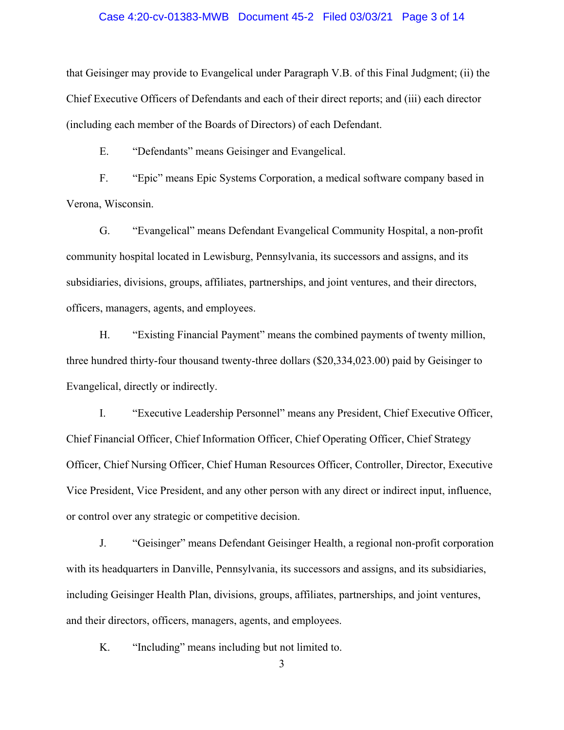#### Case 4:20-cv-01383-MWB Document 45-2 Filed 03/03/21 Page 3 of 14

that Geisinger may provide to Evangelical under Paragraph V.B. of this Final Judgment; (ii) the Chief Executive Officers of Defendants and each of their direct reports; and (iii) each director (including each member of the Boards of Directors) of each Defendant.

E. "Defendants" means Geisinger and Evangelical.

F. "Epic" means Epic Systems Corporation, a medical software company based in Verona, Wisconsin.

G. "Evangelical" means Defendant Evangelical Community Hospital, a non-profit community hospital located in Lewisburg, Pennsylvania, its successors and assigns, and its subsidiaries, divisions, groups, affiliates, partnerships, and joint ventures, and their directors, officers, managers, agents, and employees.

H. "Existing Financial Payment" means the combined payments of twenty million, three hundred thirty-four thousand twenty-three dollars (\$[20,334,023.00\)](https://20,334,023.00) paid by Geisinger to Evangelical, directly or indirectly.

I. "Executive Leadership Personnel" means any President, Chief Executive Officer, Chief Financial Officer, Chief Information Officer, Chief Operating Officer, Chief Strategy Officer, Chief Nursing Officer, Chief Human Resources Officer, Controller, Director, Executive Vice President, Vice President, and any other person with any direct or indirect input, influence, or control over any strategic or competitive decision.

J. "Geisinger" means Defendant Geisinger Health, a regional non-profit corporation with its headquarters in Danville, Pennsylvania, its successors and assigns, and its subsidiaries, including Geisinger Health Plan, divisions, groups, affiliates, partnerships, and joint ventures, and their directors, officers, managers, agents, and employees.

K. "Including" means including but not limited to.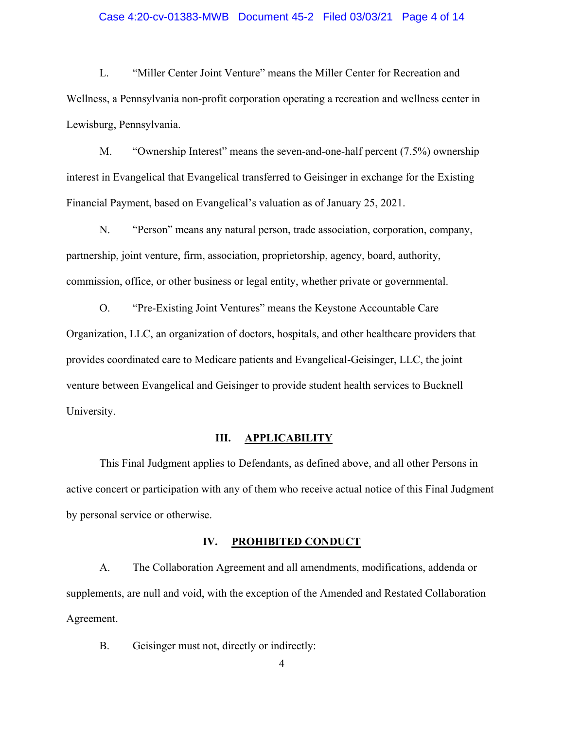### Case 4:20-cv-01383-MWB Document 45-2 Filed 03/03/21 Page 4 of 14

L. "Miller Center Joint Venture" means the Miller Center for Recreation and Wellness, a Pennsylvania non-profit corporation operating a recreation and wellness center in Lewisburg, Pennsylvania.

M. "Ownership Interest" means the seven-and-one-half percent (7.5%) ownership interest in Evangelical that Evangelical transferred to Geisinger in exchange for the Existing Financial Payment, based on Evangelical's valuation as of January 25, 2021.

N. "Person" means any natural person, trade association, corporation, company, partnership, joint venture, firm, association, proprietorship, agency, board, authority, commission, office, or other business or legal entity, whether private or governmental.

O. "Pre-Existing Joint Ventures" means the Keystone Accountable Care Organization, LLC, an organization of doctors, hospitals, and other healthcare providers that provides coordinated care to Medicare patients and Evangelical-Geisinger, LLC, the joint venture between Evangelical and Geisinger to provide student health services to Bucknell University.

#### III. **IMPLICABILITY**

This Final Judgment applies to Defendants, as defined above, and all other Persons in active concert or participation with any of them who receive actual notice of this Final Judgment by personal service or otherwise.

#### IV. **PROHIBITED CONDUCT**

A. The Collaboration Agreement and all amendments, modifications, addenda or supplements, are null and void, with the exception of the Amended and Restated Collaboration Agreement.

B. Geisinger must not, directly or indirectly: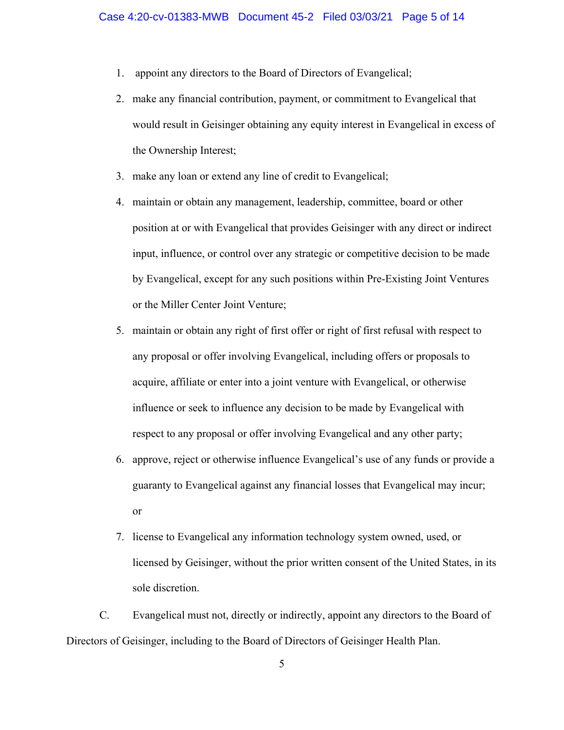- 1. appoint any directors to the Board of Directors of Evangelical;
- 2. make any financial contribution, payment, or commitment to Evangelical that would result in Geisinger obtaining any equity interest in Evangelical in excess of the Ownership Interest;
- 3. make any loan or extend any line of credit to Evangelical;
- 4. maintain or obtain any management, leadership, committee, board or other position at or with Evangelical that provides Geisinger with any direct or indirect input, influence, or control over any strategic or competitive decision to be made by Evangelical, except for any such positions within Pre-Existing Joint Ventures or the Miller Center Joint Venture;
- 5. maintain or obtain any right of first offer or right of first refusal with respect to any proposal or offer involving Evangelical, including offers or proposals to acquire, affiliate or enter into a joint venture with Evangelical, or otherwise influence or seek to influence any decision to be made by Evangelical with respect to any proposal or offer involving Evangelical and any other party;
- 6. approve, reject or otherwise influence Evangelical's use of any funds or provide a guaranty to Evangelical against any financial losses that Evangelical may incur; or
- 7. license to Evangelical any information technology system owned, used, or licensed by Geisinger, without the prior written consent of the United States, in its sole discretion.

C. Evangelical must not, directly or indirectly, appoint any directors to the Board of Directors of Geisinger, including to the Board of Directors of Geisinger Health Plan.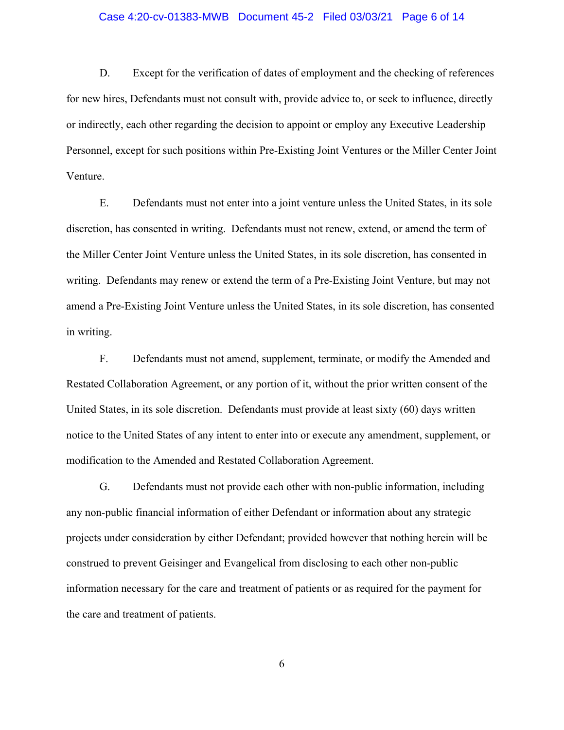### Case 4:20-cv-01383-MWB Document 45-2 Filed 03/03/21 Page 6 of 14

D. Except for the verification of dates of employment and the checking of references for new hires, Defendants must not consult with, provide advice to, or seek to influence, directly or indirectly, each other regarding the decision to appoint or employ any Executive Leadership Personnel, except for such positions within Pre-Existing Joint Ventures or the Miller Center Joint Venture.

E. Defendants must not enter into a joint venture unless the United States, in its sole discretion, has consented in writing. Defendants must not renew, extend, or amend the term of the Miller Center Joint Venture unless the United States, in its sole discretion, has consented in writing. Defendants may renew or extend the term of a Pre-Existing Joint Venture, but may not amend a Pre-Existing Joint Venture unless the United States, in its sole discretion, has consented in writing.

F. Defendants must not amend, supplement, terminate, or modify the Amended and Restated Collaboration Agreement, or any portion of it, without the prior written consent of the United States, in its sole discretion. Defendants must provide at least sixty (60) days written notice to the United States of any intent to enter into or execute any amendment, supplement, or modification to the Amended and Restated Collaboration Agreement.

G. Defendants must not provide each other with non-public information, including any non-public financial information of either Defendant or information about any strategic projects under consideration by either Defendant; provided however that nothing herein will be construed to prevent Geisinger and Evangelical from disclosing to each other non-public information necessary for the care and treatment of patients or as required for the payment for the care and treatment of patients.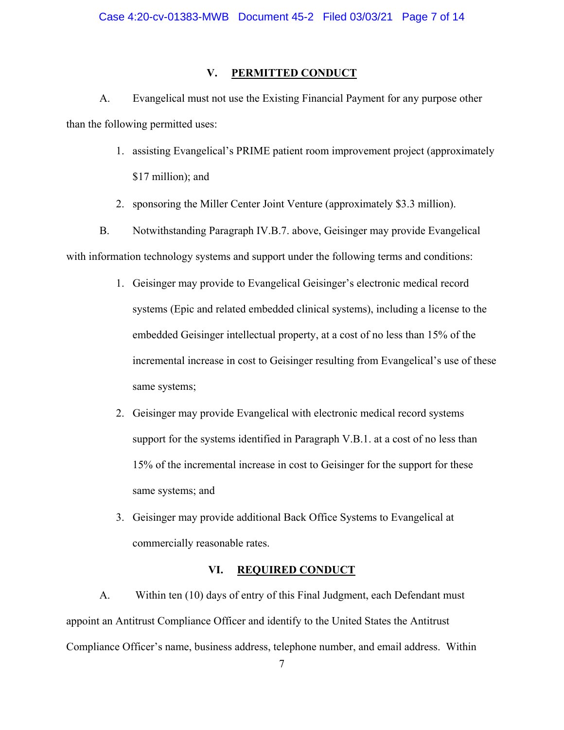## **V. PERMITTED CONDUCT**

A. Evangelical must not use the Existing Financial Payment for any purpose other than the following permitted uses:

- 1. assisting Evangelical's PRIME patient room improvement project (approximately \$17 million); and
- 2. sponsoring the Miller Center Joint Venture (approximately \$3.3 million).

B. Notwithstanding Paragraph IV.B.7. above, Geisinger may provide Evangelical with information technology systems and support under the following terms and conditions:

- 1. Geisinger may provide to Evangelical Geisinger's electronic medical record systems (Epic and related embedded clinical systems), including a license to the embedded Geisinger intellectual property, at a cost of no less than 15% of the incremental increase in cost to Geisinger resulting from Evangelical's use of these same systems;
- 2. Geisinger may provide Evangelical with electronic medical record systems support for the systems identified in Paragraph V.B.1. at a cost of no less than 15% of the incremental increase in cost to Geisinger for the support for these same systems; and
- 3. Geisinger may provide additional Back Office Systems to Evangelical at commercially reasonable rates.

#### VI. **VI. REQUIRED CONDUCT**

A. Within ten (10) days of entry of this Final Judgment, each Defendant must appoint an Antitrust Compliance Officer and identify to the United States the Antitrust Compliance Officer's name, business address, telephone number, and email address. Within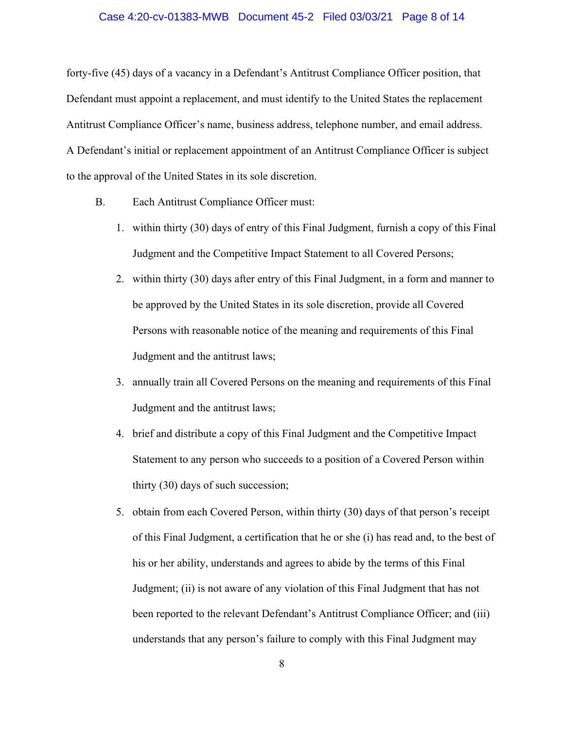### Case 4:20-cv-01383-MWB Document 45-2 Filed 03/03/21 Page 8 of 14

forty-five (45) days of a vacancy in a Defendant's Antitrust Compliance Officer position, that Defendant must appoint a replacement, and must identify to the United States the replacement Antitrust Compliance Officer's name, business address, telephone number, and email address. A Defendant's initial or replacement appointment of an Antitrust Compliance Officer is subject to the approval of the United States in its sole discretion.

- B. Each Antitrust Compliance Officer must:
	- 1. within thirty (30) days of entry of this Final Judgment, furnish a copy of this Final Judgment and the Competitive Impact Statement to all Covered Persons;
	- 2. within thirty (30) days after entry of this Final Judgment, in a form and manner to be approved by the United States in its sole discretion, provide all Covered Persons with reasonable notice of the meaning and requirements of this Final Judgment and the antitrust laws;
	- 3. annually train all Covered Persons on the meaning and requirements of this Final Judgment and the antitrust laws;
	- 4. brief and distribute a copy of this Final Judgment and the Competitive Impact Statement to any person who succeeds to a position of a Covered Person within thirty (30) days of such succession;
	- 5. obtain from each Covered Person, within thirty (30) days of that person's receipt of this Final Judgment, a certification that he or she (i) has read and, to the best of his or her ability, understands and agrees to abide by the terms of this Final Judgment; (ii) is not aware of any violation of this Final Judgment that has not been reported to the relevant Defendant's Antitrust Compliance Officer; and (iii) understands that any person's failure to comply with this Final Judgment may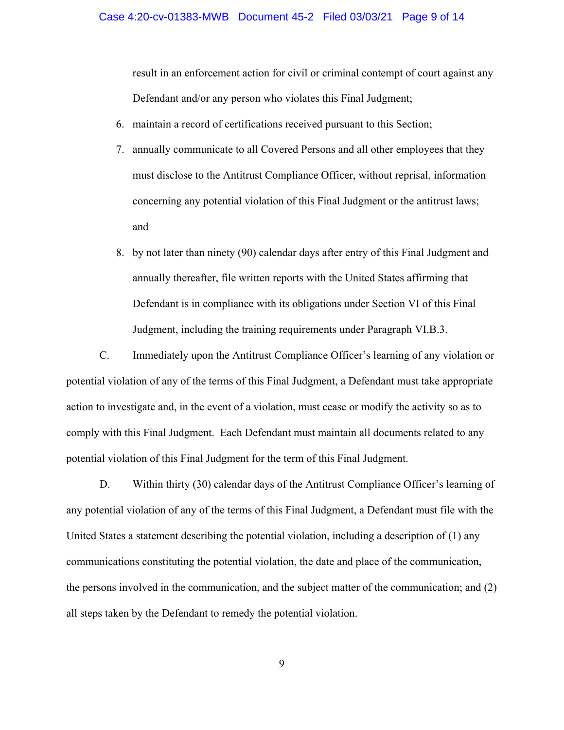result in an enforcement action for civil or criminal contempt of court against any Defendant and/or any person who violates this Final Judgment;

- 6. maintain a record of certifications received pursuant to this Section;
- 7. annually communicate to all Covered Persons and all other employees that they must disclose to the Antitrust Compliance Officer, without reprisal, information concerning any potential violation of this Final Judgment or the antitrust laws; and
- 8. by not later than ninety (90) calendar days after entry of this Final Judgment and annually thereafter, file written reports with the United States affirming that Defendant is in compliance with its obligations under Section VI of this Final Judgment, including the training requirements under Paragraph VI.B.3.

C. Immediately upon the Antitrust Compliance Officer's learning of any violation or potential violation of any of the terms of this Final Judgment, a Defendant must take appropriate action to investigate and, in the event of a violation, must cease or modify the activity so as to comply with this Final Judgment. Each Defendant must maintain all documents related to any potential violation of this Final Judgment for the term of this Final Judgment.

D. Within thirty (30) calendar days of the Antitrust Compliance Officer's learning of any potential violation of any of the terms of this Final Judgment, a Defendant must file with the United States a statement describing the potential violation, including a description of (1) any communications constituting the potential violation, the date and place of the communication, the persons involved in the communication, and the subject matter of the communication; and (2) all steps taken by the Defendant to remedy the potential violation.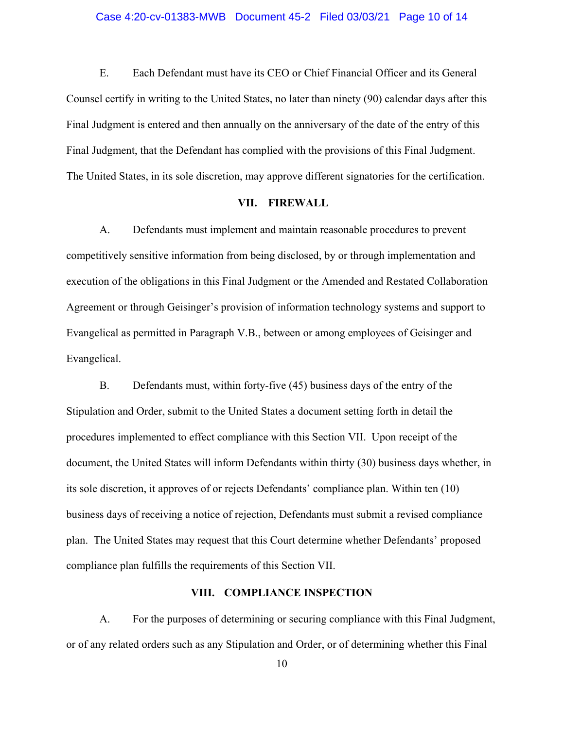### Case 4:20-cv-01383-MWB Document 45-2 Filed 03/03/21 Page 10 of 14

E. Each Defendant must have its CEO or Chief Financial Officer and its General Counsel certify in writing to the United States, no later than ninety (90) calendar days after this Final Judgment is entered and then annually on the anniversary of the date of the entry of this Final Judgment, that the Defendant has complied with the provisions of this Final Judgment. The United States, in its sole discretion, may approve different signatories for the certification.

## **VII. FIREWALL**

A. Defendants must implement and maintain reasonable procedures to prevent competitively sensitive information from being disclosed, by or through implementation and execution of the obligations in this Final Judgment or the Amended and Restated Collaboration Agreement or through Geisinger's provision of information technology systems and support to Evangelical as permitted in Paragraph V.B., between or among employees of Geisinger and Evangelical.

 compliance plan fulfills the requirements of this Section VII. B. Defendants must, within forty-five (45) business days of the entry of the Stipulation and Order, submit to the United States a document setting forth in detail the procedures implemented to effect compliance with this Section VII. Upon receipt of the document, the United States will inform Defendants within thirty (30) business days whether, in its sole discretion, it approves of or rejects Defendants' compliance plan. Within ten (10) business days of receiving a notice of rejection, Defendants must submit a revised compliance plan. The United States may request that this Court determine whether Defendants' proposed

## **VIII. COMPLIANCE INSPECTION**

A. For the purposes of determining or securing compliance with this Final Judgment, or of any related orders such as any Stipulation and Order, or of determining whether this Final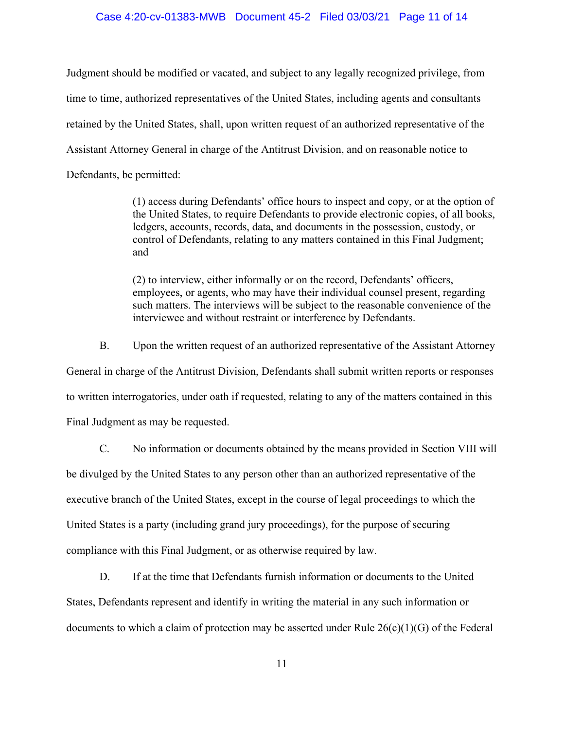### Case 4:20-cv-01383-MWB Document 45-2 Filed 03/03/21 Page 11 of 14

Judgment should be modified or vacated, and subject to any legally recognized privilege, from time to time, authorized representatives of the United States, including agents and consultants retained by the United States, shall, upon written request of an authorized representative of the Assistant Attorney General in charge of the Antitrust Division, and on reasonable notice to Defendants, be permitted:

> (1) access during Defendants' office hours to inspect and copy, or at the option of the United States, to require Defendants to provide electronic copies, of all books, ledgers, accounts, records, data, and documents in the possession, custody, or control of Defendants, relating to any matters contained in this Final Judgment; and

> (2) to interview, either informally or on the record, Defendants' officers, employees, or agents, who may have their individual counsel present, regarding such matters. The interviews will be subject to the reasonable convenience of the interviewee and without restraint or interference by Defendants.

B. Upon the written request of an authorized representative of the Assistant Attorney General in charge of the Antitrust Division, Defendants shall submit written reports or responses to written interrogatories, under oath if requested, relating to any of the matters contained in this Final Judgment as may be requested.

C. No information or documents obtained by the means provided in Section VIII will be divulged by the United States to any person other than an authorized representative of the executive branch of the United States, except in the course of legal proceedings to which the United States is a party (including grand jury proceedings), for the purpose of securing compliance with this Final Judgment, or as otherwise required by law.

D. If at the time that Defendants furnish information or documents to the United States, Defendants represent and identify in writing the material in any such information or documents to which a claim of protection may be asserted under Rule  $26(c)(1)(G)$  of the Federal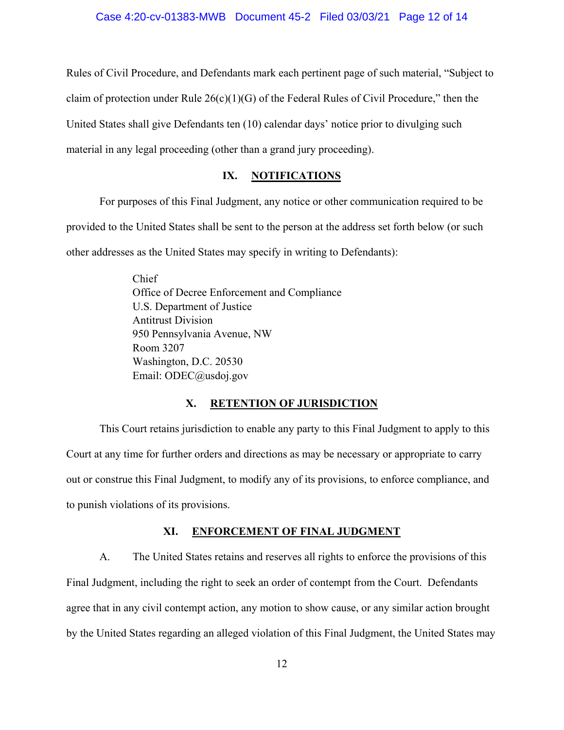Rules of Civil Procedure, and Defendants mark each pertinent page of such material, "Subject to claim of protection under Rule  $26(c)(1)(G)$  of the Federal Rules of Civil Procedure," then the United States shall give Defendants ten (10) calendar days' notice prior to divulging such material in any legal proceeding (other than a grand jury proceeding).

## **IX. NOTIFICATIONS**

For purposes of this Final Judgment, any notice or other communication required to be provided to the United States shall be sent to the person at the address set forth below (or such other addresses as the United States may specify in writing to Defendants):

> Chief Office of Decree Enforcement and Compliance U.S. Department of Justice Antitrust Division 950 Pennsylvania Avenue, NW Room 3207 Washington, D.C. 20530 Email: [ODEC@usdoj.gov](mailto:ODEC@usdoj.gov)

## **X. RETENTION OF JURISDICTION**

This Court retains jurisdiction to enable any party to this Final Judgment to apply to this Court at any time for further orders and directions as may be necessary or appropriate to carry out or construe this Final Judgment, to modify any of its provisions, to enforce compliance, and to punish violations of its provisions.

## **XI. ENFORCEMENT OF FINAL JUDGMENT**

A. The United States retains and reserves all rights to enforce the provisions of this Final Judgment, including the right to seek an order of contempt from the Court. Defendants agree that in any civil contempt action, any motion to show cause, or any similar action brought by the United States regarding an alleged violation of this Final Judgment, the United States may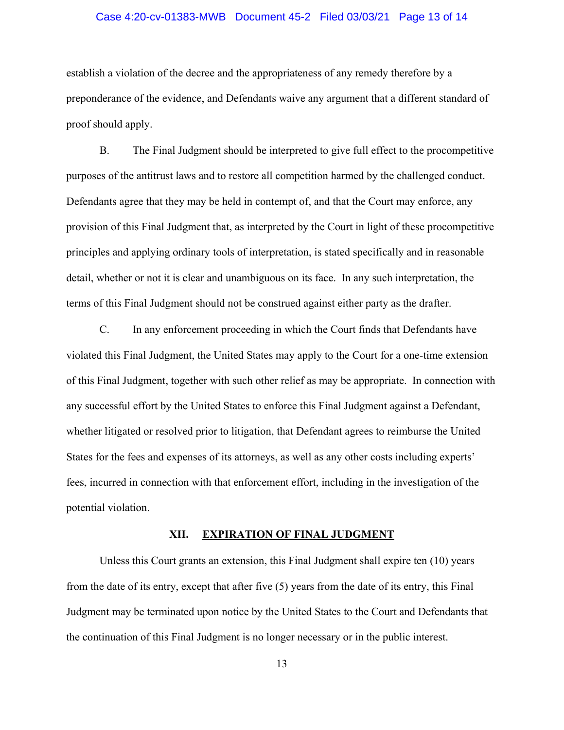### Case 4:20-cv-01383-MWB Document 45-2 Filed 03/03/21 Page 13 of 14

establish a violation of the decree and the appropriateness of any remedy therefore by a preponderance of the evidence, and Defendants waive any argument that a different standard of proof should apply.

B. The Final Judgment should be interpreted to give full effect to the procompetitive purposes of the antitrust laws and to restore all competition harmed by the challenged conduct. Defendants agree that they may be held in contempt of, and that the Court may enforce, any provision of this Final Judgment that, as interpreted by the Court in light of these procompetitive principles and applying ordinary tools of interpretation, is stated specifically and in reasonable detail, whether or not it is clear and unambiguous on its face. In any such interpretation, the terms of this Final Judgment should not be construed against either party as the drafter.

C. In any enforcement proceeding in which the Court finds that Defendants have violated this Final Judgment, the United States may apply to the Court for a one-time extension of this Final Judgment, together with such other relief as may be appropriate. In connection with any successful effort by the United States to enforce this Final Judgment against a Defendant, whether litigated or resolved prior to litigation, that Defendant agrees to reimburse the United States for the fees and expenses of its attorneys, as well as any other costs including experts' fees, incurred in connection with that enforcement effort, including in the investigation of the potential violation.

#### XII. **EXPIRATION OF FINAL JUDGMENT**

Unless this Court grants an extension, this Final Judgment shall expire ten (10) years from the date of its entry, except that after five (5) years from the date of its entry, this Final Judgment may be terminated upon notice by the United States to the Court and Defendants that the continuation of this Final Judgment is no longer necessary or in the public interest.